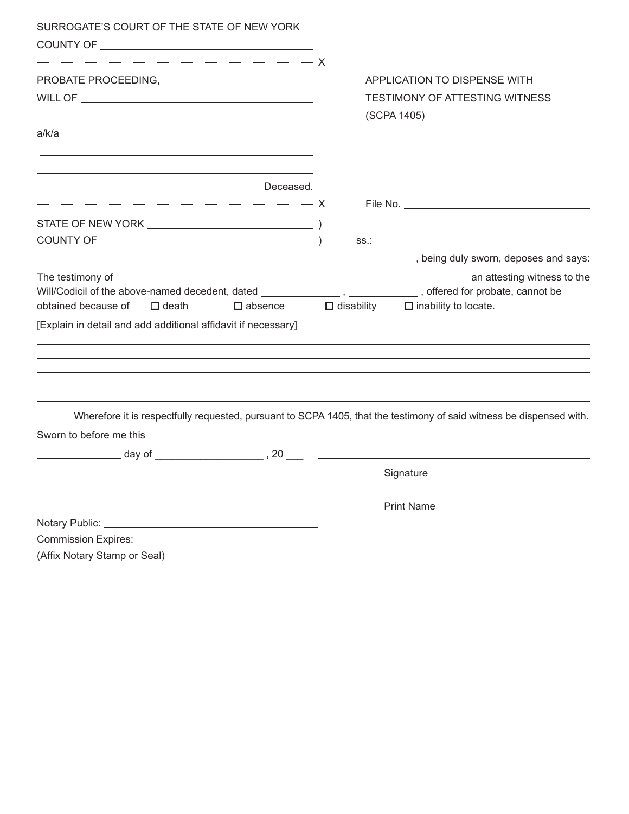| SURROGATE'S COURT OF THE STATE OF NEW YORK                                                                                                                                                                                     |                                                                                                                      |
|--------------------------------------------------------------------------------------------------------------------------------------------------------------------------------------------------------------------------------|----------------------------------------------------------------------------------------------------------------------|
|                                                                                                                                                                                                                                |                                                                                                                      |
|                                                                                                                                                                                                                                |                                                                                                                      |
|                                                                                                                                                                                                                                | APPLICATION TO DISPENSE WITH                                                                                         |
|                                                                                                                                                                                                                                | TESTIMONY OF ATTESTING WITNESS                                                                                       |
| the control of the control of the control of the control of the control of the control of the control of the control of the control of the control of the control of the control of the control of the control of the control  | (SCPA 1405)                                                                                                          |
|                                                                                                                                                                                                                                |                                                                                                                      |
|                                                                                                                                                                                                                                |                                                                                                                      |
| Deceased.                                                                                                                                                                                                                      |                                                                                                                      |
| _ _ _ _ _ _ _<br>_ _ _<br>$- - x$                                                                                                                                                                                              |                                                                                                                      |
|                                                                                                                                                                                                                                |                                                                                                                      |
|                                                                                                                                                                                                                                | SS.:                                                                                                                 |
|                                                                                                                                                                                                                                | being duly sworn, deposes and says: ((2) and the same series of the same series of the same says:                    |
|                                                                                                                                                                                                                                |                                                                                                                      |
|                                                                                                                                                                                                                                |                                                                                                                      |
| obtained because of<br>$\Box$ death<br>$\square$ absence                                                                                                                                                                       | $\Box$ disability $\Box$ inability to locate.                                                                        |
| [Explain in detail and add additional affidavit if necessary]                                                                                                                                                                  |                                                                                                                      |
|                                                                                                                                                                                                                                |                                                                                                                      |
|                                                                                                                                                                                                                                |                                                                                                                      |
|                                                                                                                                                                                                                                |                                                                                                                      |
|                                                                                                                                                                                                                                |                                                                                                                      |
|                                                                                                                                                                                                                                |                                                                                                                      |
|                                                                                                                                                                                                                                | Wherefore it is respectfully requested, pursuant to SCPA 1405, that the testimony of said witness be dispensed with. |
| Sworn to before me this                                                                                                                                                                                                        |                                                                                                                      |
| $\sim$ day of $\sim$ , 20 $\sim$ $\sim$                                                                                                                                                                                        |                                                                                                                      |
|                                                                                                                                                                                                                                | Signature                                                                                                            |
|                                                                                                                                                                                                                                | <b>Print Name</b>                                                                                                    |
|                                                                                                                                                                                                                                |                                                                                                                      |
| Commission Expires: 2008 2012 2022 2023 2024 2022 2023 2024 2022 2023 2024 2022 2023 2024 2022 2023 2024 2022 2023 2024 2022 2023 2024 2022 2023 2024 2022 2023 2024 2022 2023 2024 2022 2023 2024 2022 2023 2024 2022 2023 20 |                                                                                                                      |
|                                                                                                                                                                                                                                |                                                                                                                      |

(Affix Notary Stamp or Seal)